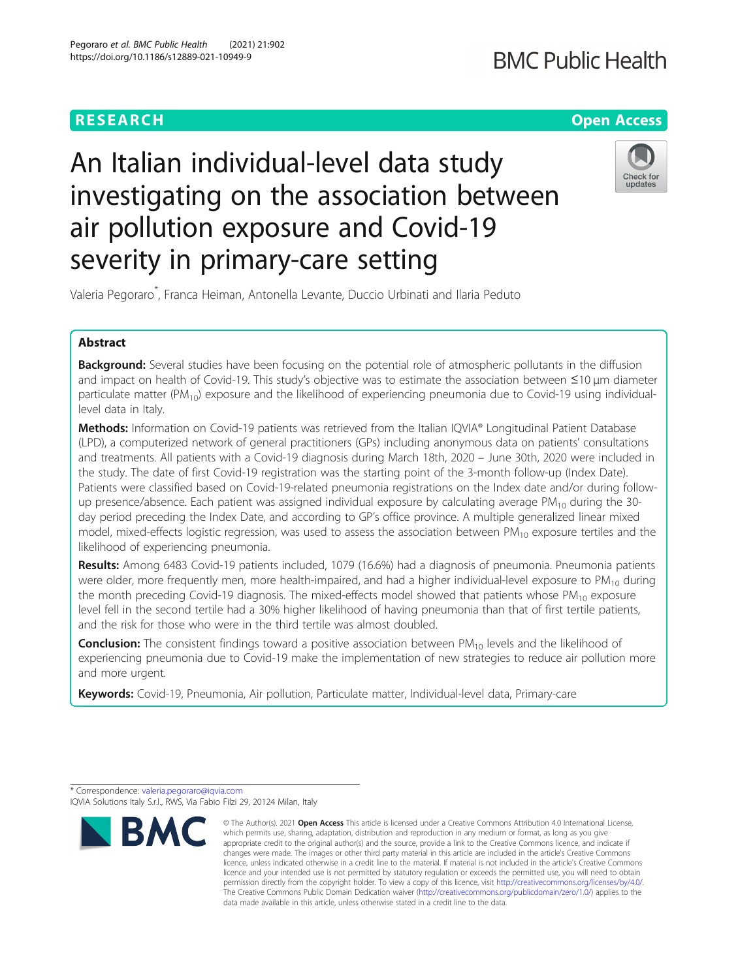### **RESEARCH CHE Open Access**

## **BMC Public Health**

## An Italian individual-level data study investigating on the association between air pollution exposure and Covid-19 severity in primary-care setting



Valeria Pegoraro\* , Franca Heiman, Antonella Levante, Duccio Urbinati and Ilaria Peduto

#### Abstract

Background: Several studies have been focusing on the potential role of atmospheric pollutants in the diffusion and impact on health of Covid-19. This study's objective was to estimate the association between ≤10 μm diameter particulate matter (PM<sub>10</sub>) exposure and the likelihood of experiencing pneumonia due to Covid-19 using individuallevel data in Italy.

Methods: Information on Covid-19 patients was retrieved from the Italian IQVIA® Longitudinal Patient Database (LPD), a computerized network of general practitioners (GPs) including anonymous data on patients' consultations and treatments. All patients with a Covid-19 diagnosis during March 18th, 2020 – June 30th, 2020 were included in the study. The date of first Covid-19 registration was the starting point of the 3-month follow-up (Index Date). Patients were classified based on Covid-19-related pneumonia registrations on the Index date and/or during followup presence/absence. Each patient was assigned individual exposure by calculating average  $PM_{10}$  during the 30day period preceding the Index Date, and according to GP's office province. A multiple generalized linear mixed model, mixed-effects logistic regression, was used to assess the association between  $PM_{10}$  exposure tertiles and the likelihood of experiencing pneumonia.

Results: Among 6483 Covid-19 patients included, 1079 (16.6%) had a diagnosis of pneumonia. Pneumonia patients were older, more frequently men, more health-impaired, and had a higher individual-level exposure to  $PM_{10}$  during the month preceding Covid-19 diagnosis. The mixed-effects model showed that patients whose  $PM_{10}$  exposure level fell in the second tertile had a 30% higher likelihood of having pneumonia than that of first tertile patients, and the risk for those who were in the third tertile was almost doubled.

**Conclusion:** The consistent findings toward a positive association between  $PM_{10}$  levels and the likelihood of experiencing pneumonia due to Covid-19 make the implementation of new strategies to reduce air pollution more and more urgent.

Keywords: Covid-19, Pneumonia, Air pollution, Particulate matter, Individual-level data, Primary-care

\* Correspondence: [valeria.pegoraro@iqvia.com](mailto:valeria.pegoraro@iqvia.com)

IQVIA Solutions Italy S.r.l., RWS, Via Fabio Filzi 29, 20124 Milan, Italy

# **BM**

<sup>©</sup> The Author(s), 2021 **Open Access** This article is licensed under a Creative Commons Attribution 4.0 International License, which permits use, sharing, adaptation, distribution and reproduction in any medium or format, as long as you give appropriate credit to the original author(s) and the source, provide a link to the Creative Commons licence, and indicate if changes were made. The images or other third party material in this article are included in the article's Creative Commons licence, unless indicated otherwise in a credit line to the material. If material is not included in the article's Creative Commons licence and your intended use is not permitted by statutory regulation or exceeds the permitted use, you will need to obtain permission directly from the copyright holder. To view a copy of this licence, visit [http://creativecommons.org/licenses/by/4.0/.](http://creativecommons.org/licenses/by/4.0/) The Creative Commons Public Domain Dedication waiver [\(http://creativecommons.org/publicdomain/zero/1.0/](http://creativecommons.org/publicdomain/zero/1.0/)) applies to the data made available in this article, unless otherwise stated in a credit line to the data.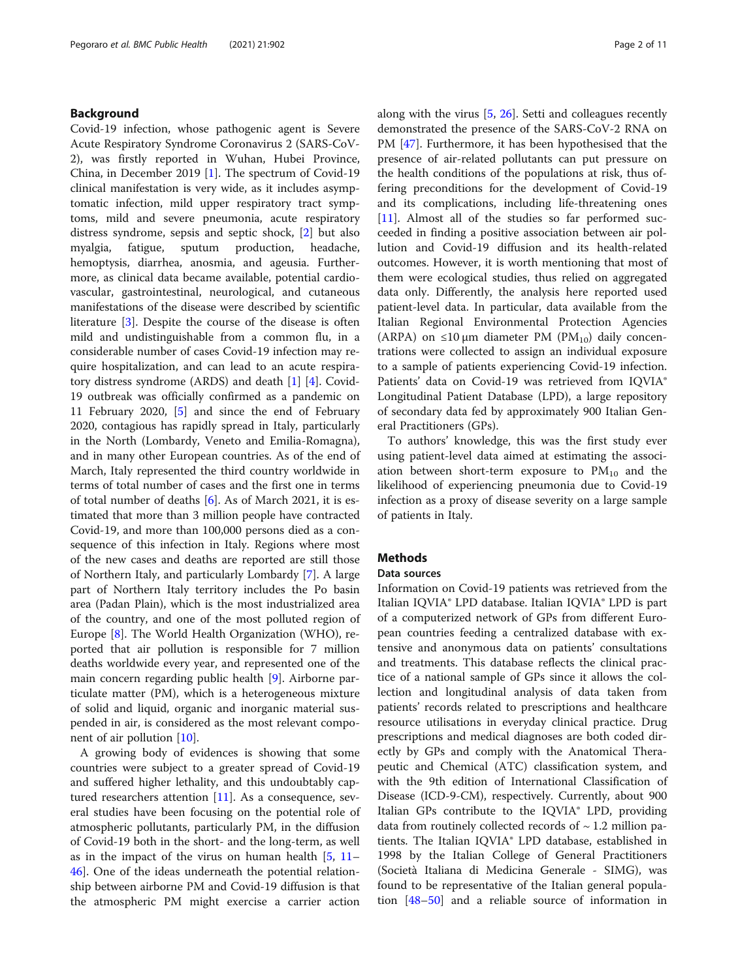#### Background

Covid-19 infection, whose pathogenic agent is Severe Acute Respiratory Syndrome Coronavirus 2 (SARS-CoV-2), was firstly reported in Wuhan, Hubei Province, China, in December 2019 [\[1](#page-8-0)]. The spectrum of Covid-19 clinical manifestation is very wide, as it includes asymptomatic infection, mild upper respiratory tract symptoms, mild and severe pneumonia, acute respiratory distress syndrome, sepsis and septic shock, [[2\]](#page-8-0) but also myalgia, fatigue, sputum production, headache, hemoptysis, diarrhea, anosmia, and ageusia. Furthermore, as clinical data became available, potential cardiovascular, gastrointestinal, neurological, and cutaneous manifestations of the disease were described by scientific literature [\[3](#page-8-0)]. Despite the course of the disease is often mild and undistinguishable from a common flu, in a considerable number of cases Covid-19 infection may require hospitalization, and can lead to an acute respiratory distress syndrome (ARDS) and death [\[1\]](#page-8-0) [[4](#page-8-0)]. Covid-19 outbreak was officially confirmed as a pandemic on 11 February 2020, [\[5](#page-8-0)] and since the end of February 2020, contagious has rapidly spread in Italy, particularly in the North (Lombardy, Veneto and Emilia-Romagna), and in many other European countries. As of the end of March, Italy represented the third country worldwide in terms of total number of cases and the first one in terms of total number of deaths [[6\]](#page-8-0). As of March 2021, it is estimated that more than 3 million people have contracted Covid-19, and more than 100,000 persons died as a consequence of this infection in Italy. Regions where most of the new cases and deaths are reported are still those of Northern Italy, and particularly Lombardy [\[7](#page-8-0)]. A large part of Northern Italy territory includes the Po basin area (Padan Plain), which is the most industrialized area of the country, and one of the most polluted region of Europe [\[8](#page-8-0)]. The World Health Organization (WHO), reported that air pollution is responsible for 7 million deaths worldwide every year, and represented one of the main concern regarding public health [[9\]](#page-8-0). Airborne particulate matter (PM), which is a heterogeneous mixture of solid and liquid, organic and inorganic material suspended in air, is considered as the most relevant component of air pollution [[10](#page-8-0)].

A growing body of evidences is showing that some countries were subject to a greater spread of Covid-19 and suffered higher lethality, and this undoubtably captured researchers attention [\[11\]](#page-8-0). As a consequence, several studies have been focusing on the potential role of atmospheric pollutants, particularly PM, in the diffusion of Covid-19 both in the short- and the long-term, as well as in the impact of the virus on human health  $[5, 11 [5, 11 [5, 11 [5, 11 [5, 11-$ [46\]](#page-9-0). One of the ideas underneath the potential relationship between airborne PM and Covid-19 diffusion is that the atmospheric PM might exercise a carrier action

along with the virus [\[5](#page-8-0), [26](#page-9-0)]. Setti and colleagues recently demonstrated the presence of the SARS-CoV-2 RNA on PM [[47\]](#page-9-0). Furthermore, it has been hypothesised that the presence of air-related pollutants can put pressure on the health conditions of the populations at risk, thus offering preconditions for the development of Covid-19 and its complications, including life-threatening ones [[11\]](#page-8-0). Almost all of the studies so far performed succeeded in finding a positive association between air pollution and Covid-19 diffusion and its health-related outcomes. However, it is worth mentioning that most of them were ecological studies, thus relied on aggregated data only. Differently, the analysis here reported used patient-level data. In particular, data available from the Italian Regional Environmental Protection Agencies (ARPA) on  $\leq 10 \mu m$  diameter PM (PM<sub>10</sub>) daily concentrations were collected to assign an individual exposure to a sample of patients experiencing Covid-19 infection. Patients' data on Covid-19 was retrieved from IQVIA® Longitudinal Patient Database (LPD), a large repository of secondary data fed by approximately 900 Italian General Practitioners (GPs).

To authors' knowledge, this was the first study ever using patient-level data aimed at estimating the association between short-term exposure to  $PM_{10}$  and the likelihood of experiencing pneumonia due to Covid-19 infection as a proxy of disease severity on a large sample of patients in Italy.

#### **Methods**

#### Data sources

Information on Covid-19 patients was retrieved from the Italian IQVIA® LPD database. Italian IQVIA® LPD is part of a computerized network of GPs from different European countries feeding a centralized database with extensive and anonymous data on patients' consultations and treatments. This database reflects the clinical practice of a national sample of GPs since it allows the collection and longitudinal analysis of data taken from patients' records related to prescriptions and healthcare resource utilisations in everyday clinical practice. Drug prescriptions and medical diagnoses are both coded directly by GPs and comply with the Anatomical Therapeutic and Chemical (ATC) classification system, and with the 9th edition of International Classification of Disease (ICD-9-CM), respectively. Currently, about 900 Italian GPs contribute to the IQVIA® LPD, providing data from routinely collected records of  $\sim$  1.2 million patients. The Italian IQVIA® LPD database, established in 1998 by the Italian College of General Practitioners (Società Italiana di Medicina Generale - SIMG), was found to be representative of the Italian general population [[48](#page-9-0)–[50](#page-9-0)] and a reliable source of information in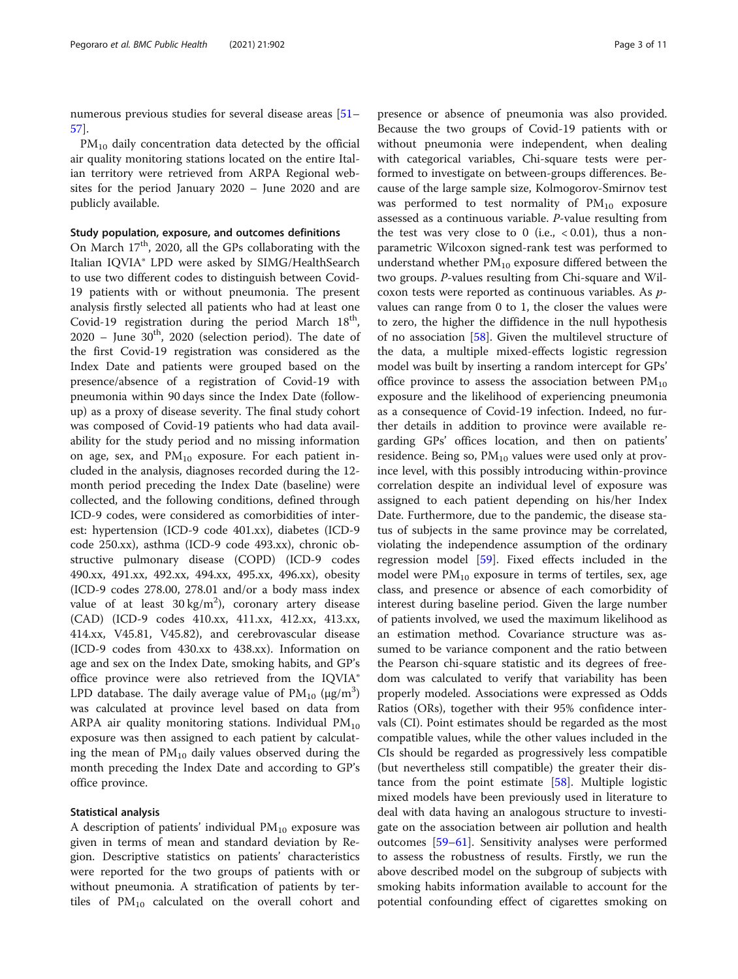numerous previous studies for several disease areas [[51](#page-9-0)– [57\]](#page-9-0).

 $PM_{10}$  daily concentration data detected by the official air quality monitoring stations located on the entire Italian territory were retrieved from ARPA Regional websites for the period January 2020 – June 2020 and are publicly available.

#### Study population, exposure, and outcomes definitions

On March 17<sup>th</sup>, 2020, all the GPs collaborating with the Italian IQVIA® LPD were asked by SIMG/HealthSearch to use two different codes to distinguish between Covid-19 patients with or without pneumonia. The present analysis firstly selected all patients who had at least one Covid-19 registration during the period March  $18<sup>th</sup>$ ,  $2020$  – June  $30<sup>th</sup>$ , 2020 (selection period). The date of the first Covid-19 registration was considered as the Index Date and patients were grouped based on the presence/absence of a registration of Covid-19 with pneumonia within 90 days since the Index Date (followup) as a proxy of disease severity. The final study cohort was composed of Covid-19 patients who had data availability for the study period and no missing information on age, sex, and  $PM_{10}$  exposure. For each patient included in the analysis, diagnoses recorded during the 12 month period preceding the Index Date (baseline) were collected, and the following conditions, defined through ICD-9 codes, were considered as comorbidities of interest: hypertension (ICD-9 code 401.xx), diabetes (ICD-9 code 250.xx), asthma (ICD-9 code 493.xx), chronic obstructive pulmonary disease (COPD) (ICD-9 codes 490.xx, 491.xx, 492.xx, 494.xx, 495.xx, 496.xx), obesity (ICD-9 codes 278.00, 278.01 and/or a body mass index value of at least  $30 \text{ kg/m}^2$ ), coronary artery disease (CAD) (ICD-9 codes 410.xx, 411.xx, 412.xx, 413.xx, 414.xx, V45.81, V45.82), and cerebrovascular disease (ICD-9 codes from 430.xx to 438.xx). Information on age and sex on the Index Date, smoking habits, and GP's office province were also retrieved from the IQVIA® LPD database. The daily average value of  $\text{PM}_{10}$  (µg/m<sup>3</sup>) was calculated at province level based on data from ARPA air quality monitoring stations. Individual  $PM_{10}$ exposure was then assigned to each patient by calculating the mean of  $PM_{10}$  daily values observed during the month preceding the Index Date and according to GP's office province.

#### Statistical analysis

A description of patients' individual  $PM_{10}$  exposure was given in terms of mean and standard deviation by Region. Descriptive statistics on patients' characteristics were reported for the two groups of patients with or without pneumonia. A stratification of patients by tertiles of  $PM_{10}$  calculated on the overall cohort and

presence or absence of pneumonia was also provided. Because the two groups of Covid-19 patients with or without pneumonia were independent, when dealing with categorical variables, Chi-square tests were performed to investigate on between-groups differences. Because of the large sample size, Kolmogorov-Smirnov test was performed to test normality of  $PM_{10}$  exposure assessed as a continuous variable. P-value resulting from the test was very close to 0 (i.e.,  $< 0.01$ ), thus a nonparametric Wilcoxon signed-rank test was performed to understand whether  $PM_{10}$  exposure differed between the two groups. P-values resulting from Chi-square and Wilcoxon tests were reported as continuous variables. As pvalues can range from 0 to 1, the closer the values were to zero, the higher the diffidence in the null hypothesis of no association [\[58](#page-9-0)]. Given the multilevel structure of the data, a multiple mixed-effects logistic regression model was built by inserting a random intercept for GPs' office province to assess the association between  $PM_{10}$ exposure and the likelihood of experiencing pneumonia as a consequence of Covid-19 infection. Indeed, no further details in addition to province were available regarding GPs' offices location, and then on patients' residence. Being so,  $PM_{10}$  values were used only at province level, with this possibly introducing within-province correlation despite an individual level of exposure was assigned to each patient depending on his/her Index Date. Furthermore, due to the pandemic, the disease status of subjects in the same province may be correlated, violating the independence assumption of the ordinary regression model [[59](#page-9-0)]. Fixed effects included in the model were  $PM_{10}$  exposure in terms of tertiles, sex, age class, and presence or absence of each comorbidity of interest during baseline period. Given the large number of patients involved, we used the maximum likelihood as an estimation method. Covariance structure was assumed to be variance component and the ratio between the Pearson chi-square statistic and its degrees of freedom was calculated to verify that variability has been properly modeled. Associations were expressed as Odds Ratios (ORs), together with their 95% confidence intervals (CI). Point estimates should be regarded as the most compatible values, while the other values included in the CIs should be regarded as progressively less compatible (but nevertheless still compatible) the greater their distance from the point estimate [[58\]](#page-9-0). Multiple logistic mixed models have been previously used in literature to deal with data having an analogous structure to investigate on the association between air pollution and health outcomes [\[59](#page-9-0)–[61\]](#page-10-0). Sensitivity analyses were performed to assess the robustness of results. Firstly, we run the above described model on the subgroup of subjects with smoking habits information available to account for the potential confounding effect of cigarettes smoking on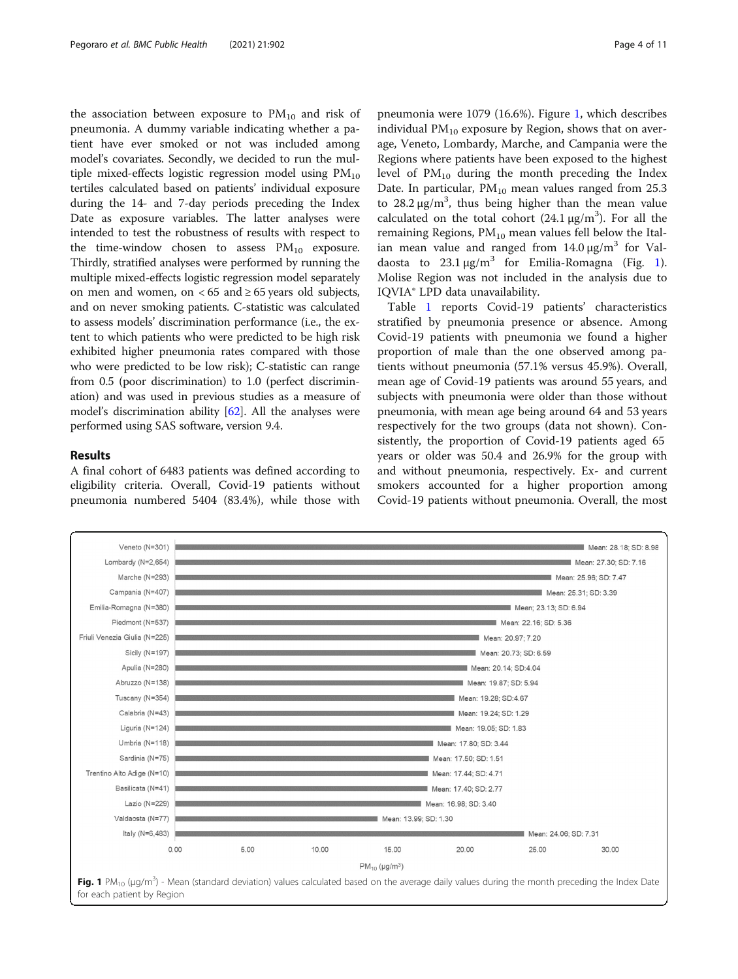the association between exposure to  $PM_{10}$  and risk of pneumonia. A dummy variable indicating whether a patient have ever smoked or not was included among model's covariates. Secondly, we decided to run the multiple mixed-effects logistic regression model using  $PM_{10}$ tertiles calculated based on patients' individual exposure during the 14- and 7-day periods preceding the Index Date as exposure variables. The latter analyses were intended to test the robustness of results with respect to the time-window chosen to assess  $PM_{10}$  exposure. Thirdly, stratified analyses were performed by running the multiple mixed-effects logistic regression model separately on men and women, on <  $65$  and  $\geq 65$  years old subjects, and on never smoking patients. C-statistic was calculated to assess models' discrimination performance (i.e., the extent to which patients who were predicted to be high risk exhibited higher pneumonia rates compared with those who were predicted to be low risk); C-statistic can range from 0.5 (poor discrimination) to 1.0 (perfect discrimination) and was used in previous studies as a measure of model's discrimination ability [\[62\]](#page-10-0). All the analyses were performed using SAS software, version 9.4.

#### Results

A final cohort of 6483 patients was defined according to eligibility criteria. Overall, Covid-19 patients without pneumonia numbered 5404 (83.4%), while those with

pneumonia were 1079 (16.6%). Figure 1, which describes individual  $PM_{10}$  exposure by Region, shows that on average, Veneto, Lombardy, Marche, and Campania were the Regions where patients have been exposed to the highest level of  $PM_{10}$  during the month preceding the Index Date. In particular,  $PM_{10}$  mean values ranged from 25.3 to  $28.2 \,\mathrm{\upmu g/m^3}$ , thus being higher than the mean value calculated on the total cohort  $(24.1 \,\mu g/m^3)$ . For all the remaining Regions,  $PM_{10}$  mean values fell below the Italian mean value and ranged from  $14.0 \,\mu g/m^3$  for Valdaosta to  $23.1 \mu g/m^3$  for Emilia-Romagna (Fig. 1). Molise Region was not included in the analysis due to IQVIA® LPD data unavailability.

Table [1](#page-4-0) reports Covid-19 patients' characteristics stratified by pneumonia presence or absence. Among Covid-19 patients with pneumonia we found a higher proportion of male than the one observed among patients without pneumonia (57.1% versus 45.9%). Overall, mean age of Covid-19 patients was around 55 years, and subjects with pneumonia were older than those without pneumonia, with mean age being around 64 and 53 years respectively for the two groups (data not shown). Consistently, the proportion of Covid-19 patients aged 65 years or older was 50.4 and 26.9% for the group with and without pneumonia, respectively. Ex- and current smokers accounted for a higher proportion among Covid-19 patients without pneumonia. Overall, the most

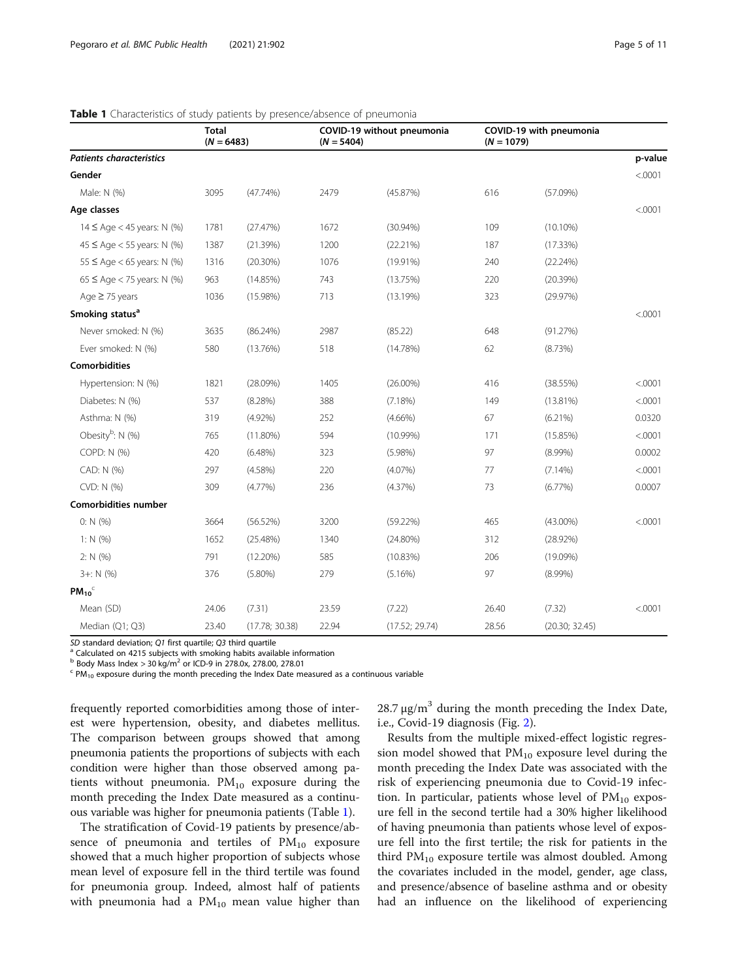|                                 | <b>Total</b><br>$(N = 6483)$ |                | COVID-19 without pneumonia<br>$(N = 5404)$ |                | COVID-19 with pneumonia<br>$(N = 1079)$ |                |         |
|---------------------------------|------------------------------|----------------|--------------------------------------------|----------------|-----------------------------------------|----------------|---------|
| <b>Patients characteristics</b> |                              |                |                                            |                |                                         |                | p-value |
| Gender                          |                              |                |                                            |                |                                         |                | < .0001 |
| Male: N (%)                     | 3095                         | $(47.74\%)$    | 2479                                       | (45.87%)       | 616                                     | (57.09%)       |         |
| Age classes                     |                              |                |                                            |                |                                         |                | < .0001 |
| $14 \leq$ Age < 45 years: N (%) | 1781                         | (27.47%)       | 1672                                       | $(30.94\%)$    | 109                                     | $(10.10\%)$    |         |
| $45 \le$ Age < 55 years: N (%)  | 1387                         | (21.39%)       | 1200                                       | (22.21%)       | 187                                     | (17.33%)       |         |
| $55 \leq$ Age < 65 years: N (%) | 1316                         | $(20.30\%)$    | 1076                                       | $(19.91\%)$    | 240                                     | (22.24%)       |         |
| $65 \le$ Age < 75 years: N (%)  | 963                          | (14.85%)       | 743                                        | (13.75%)       | 220                                     | (20.39%)       |         |
| Age $\geq$ 75 years             | 1036                         | $(15.98\%)$    | 713                                        | (13.19%)       | 323                                     | (29.97%)       |         |
| Smoking status <sup>a</sup>     |                              |                |                                            |                |                                         |                | < .0001 |
| Never smoked: N (%)             | 3635                         | $(86.24\%)$    | 2987                                       | (85.22)        | 648                                     | (91.27%)       |         |
| Ever smoked: N (%)              | 580                          | (13.76%)       | 518                                        | (14.78%)       | 62                                      | (8.73%)        |         |
| <b>Comorbidities</b>            |                              |                |                                            |                |                                         |                |         |
| Hypertension: N (%)             | 1821                         | (28.09%)       | 1405                                       | $(26.00\%)$    | 416                                     | (38.55%)       | < .0001 |
| Diabetes: N (%)                 | 537                          | (8.28%)        | 388                                        | $(7.18\%)$     | 149                                     | $(13.81\%)$    | < .0001 |
| Asthma: N (%)                   | 319                          | $(4.92\%)$     | 252                                        | $(4.66\%)$     | 67                                      | $(6.21\%)$     | 0.0320  |
| Obesity <sup>b</sup> : N (%)    | 765                          | $(11.80\%)$    | 594                                        | $(10.99\%)$    | 171                                     | (15.85%)       | < .0001 |
| COPD: N (%)                     | 420                          | $(6.48\%)$     | 323                                        | $(5.98\%)$     | 97                                      | $(8.99\%)$     | 0.0002  |
| CAD: N (%)                      | 297                          | (4.58%)        | 220                                        | $(4.07\%)$     | 77                                      | $(7.14\%)$     | < .0001 |
| CVD: N (%)                      | 309                          | $(4.77\%)$     | 236                                        | (4.37%)        | 73                                      | (6.77%)        | 0.0007  |
| <b>Comorbidities number</b>     |                              |                |                                            |                |                                         |                |         |
| 0: N(% )                        | 3664                         | (56.52%)       | 3200                                       | (59.22%)       | 465                                     | $(43.00\%)$    | < .0001 |
| 1: $N(% )$                      | 1652                         | (25.48%)       | 1340                                       | $(24.80\%)$    | 312                                     | $(28.92\%)$    |         |
| 2: N(%)                         | 791                          | $(12.20\%)$    | 585                                        | (10.83%)       | 206                                     | $(19.09\%)$    |         |
| $3 +: N$ (%)                    | 376                          | $(5.80\%)$     | 279                                        | $(5.16\%)$     | 97                                      | $(8.99\%)$     |         |
| $PM_{10}$                       |                              |                |                                            |                |                                         |                |         |
| Mean (SD)                       | 24.06                        | (7.31)         | 23.59                                      | (7.22)         | 26.40                                   | (7.32)         | < .0001 |
| Median (Q1; Q3)                 | 23.40                        | (17.78; 30.38) | 22.94                                      | (17.52; 29.74) | 28.56                                   | (20.30; 32.45) |         |

#### <span id="page-4-0"></span>Table 1 Characteristics of study patients by presence/absence of pneumonia

SD standard deviation; Q1 first quartile; Q3 third quartile a Calculated on 4215 subjects with smoking habits available information b Body Mass Index > 30 kg/m<sup>2</sup> or ICD-9 in 278.0x, 278.00, 278.01

 $\text{c}$  PM<sub>10</sub> exposure during the month preceding the Index Date measured as a continuous variable

frequently reported comorbidities among those of interest were hypertension, obesity, and diabetes mellitus. The comparison between groups showed that among pneumonia patients the proportions of subjects with each condition were higher than those observed among patients without pneumonia.  $PM_{10}$  exposure during the month preceding the Index Date measured as a continuous variable was higher for pneumonia patients (Table 1).

The stratification of Covid-19 patients by presence/absence of pneumonia and tertiles of  $PM_{10}$  exposure showed that a much higher proportion of subjects whose mean level of exposure fell in the third tertile was found for pneumonia group. Indeed, almost half of patients with pneumonia had a  $PM_{10}$  mean value higher than 28.7  $\mu$ g/m<sup>3</sup> during the month preceding the Index Date, i.e., Covid-19 diagnosis (Fig. [2](#page-5-0)).

Results from the multiple mixed-effect logistic regression model showed that  $PM_{10}$  exposure level during the month preceding the Index Date was associated with the risk of experiencing pneumonia due to Covid-19 infection. In particular, patients whose level of  $PM_{10}$  exposure fell in the second tertile had a 30% higher likelihood of having pneumonia than patients whose level of exposure fell into the first tertile; the risk for patients in the third  $PM_{10}$  exposure tertile was almost doubled. Among the covariates included in the model, gender, age class, and presence/absence of baseline asthma and or obesity had an influence on the likelihood of experiencing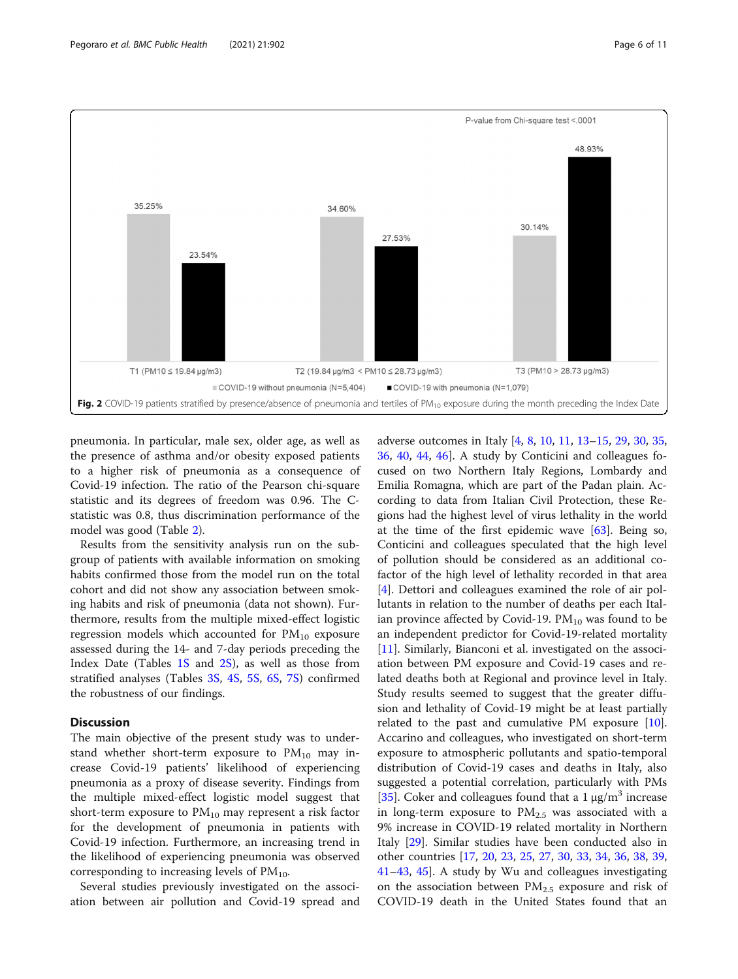<span id="page-5-0"></span>

pneumonia. In particular, male sex, older age, as well as the presence of asthma and/or obesity exposed patients to a higher risk of pneumonia as a consequence of Covid-19 infection. The ratio of the Pearson chi-square statistic and its degrees of freedom was 0.96. The Cstatistic was 0.8, thus discrimination performance of the model was good (Table [2](#page-6-0)).

Results from the sensitivity analysis run on the subgroup of patients with available information on smoking habits confirmed those from the model run on the total cohort and did not show any association between smoking habits and risk of pneumonia (data not shown). Furthermore, results from the multiple mixed-effect logistic regression models which accounted for  $PM_{10}$  exposure assessed during the 14- and 7-day periods preceding the Index Date (Tables [1S](#page-7-0) and [2S](#page-7-0)), as well as those from stratified analyses (Tables [3S](#page-7-0), [4S](#page-7-0), [5S](#page-7-0), [6S,](#page-7-0) [7S\)](#page-7-0) confirmed the robustness of our findings.

#### Discussion

The main objective of the present study was to understand whether short-term exposure to  $PM_{10}$  may increase Covid-19 patients' likelihood of experiencing pneumonia as a proxy of disease severity. Findings from the multiple mixed-effect logistic model suggest that short-term exposure to  $PM_{10}$  may represent a risk factor for the development of pneumonia in patients with Covid-19 infection. Furthermore, an increasing trend in the likelihood of experiencing pneumonia was observed corresponding to increasing levels of  $PM_{10}$ .

Several studies previously investigated on the association between air pollution and Covid-19 spread and adverse outcomes in Italy [[4,](#page-8-0) [8,](#page-8-0) [10,](#page-8-0) [11,](#page-8-0) [13](#page-8-0)–[15](#page-8-0), [29](#page-9-0), [30](#page-9-0), [35](#page-9-0), [36,](#page-9-0) [40](#page-9-0), [44](#page-9-0), [46\]](#page-9-0). A study by Conticini and colleagues focused on two Northern Italy Regions, Lombardy and Emilia Romagna, which are part of the Padan plain. According to data from Italian Civil Protection, these Regions had the highest level of virus lethality in the world at the time of the first epidemic wave  $[63]$  $[63]$ . Being so, Conticini and colleagues speculated that the high level of pollution should be considered as an additional cofactor of the high level of lethality recorded in that area [[4\]](#page-8-0). Dettori and colleagues examined the role of air pollutants in relation to the number of deaths per each Italian province affected by Covid-19.  $PM_{10}$  was found to be an independent predictor for Covid-19-related mortality [[11\]](#page-8-0). Similarly, Bianconi et al. investigated on the association between PM exposure and Covid-19 cases and related deaths both at Regional and province level in Italy. Study results seemed to suggest that the greater diffusion and lethality of Covid-19 might be at least partially related to the past and cumulative PM exposure [\[10](#page-8-0)]. Accarino and colleagues, who investigated on short-term exposure to atmospheric pollutants and spatio-temporal distribution of Covid-19 cases and deaths in Italy, also suggested a potential correlation, particularly with PMs [[35\]](#page-9-0). Coker and colleagues found that a  $1 \mu g/m^3$  increase in long-term exposure to  $PM_{2.5}$  was associated with a 9% increase in COVID-19 related mortality in Northern Italy [\[29](#page-9-0)]. Similar studies have been conducted also in other countries [[17,](#page-8-0) [20](#page-8-0), [23](#page-8-0), [25,](#page-9-0) [27,](#page-9-0) [30](#page-9-0), [33](#page-9-0), [34,](#page-9-0) [36,](#page-9-0) [38](#page-9-0), [39](#page-9-0), [41](#page-9-0)–[43](#page-9-0), [45\]](#page-9-0). A study by Wu and colleagues investigating on the association between  $PM_{2.5}$  exposure and risk of COVID-19 death in the United States found that an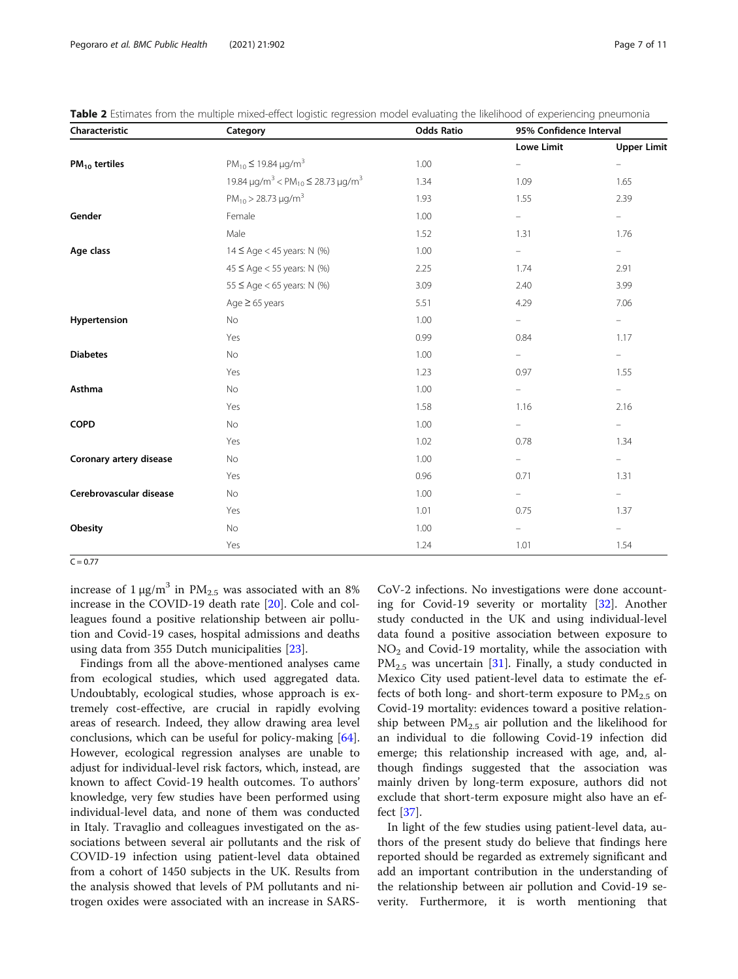| Characteristic          | Category                                                                            | <b>Odds Ratio</b> | 95% Confidence Interval  |                          |
|-------------------------|-------------------------------------------------------------------------------------|-------------------|--------------------------|--------------------------|
|                         |                                                                                     |                   | <b>Lowe Limit</b>        | <b>Upper Limit</b>       |
| $PM_{10}$ tertiles      | $PM_{10} \le 19.84 \,\mu g/m^3$                                                     | 1.00              | $\overline{\phantom{a}}$ | $\overline{\phantom{0}}$ |
|                         | 19.84 $\mu$ g/m <sup>3</sup> < PM <sub>10</sub> $\leq$ 28.73 $\mu$ g/m <sup>3</sup> | 1.34              | 1.09                     | 1.65                     |
|                         | $PM_{10}$ > 28.73 µg/m <sup>3</sup>                                                 | 1.93              | 1.55                     | 2.39                     |
| Gender                  | Female                                                                              | 1.00              | $\equiv$                 | $\equiv$                 |
|                         | Male                                                                                | 1.52              | 1.31                     | 1.76                     |
| Age class               | $14 \leq Age < 45$ years: N (%)                                                     | 1.00              | $\equiv$                 | $\equiv$                 |
|                         | $45 \le$ Age < 55 years: N (%)                                                      | 2.25              | 1.74                     | 2.91                     |
|                         | 55 ≤ Age < 65 years: $N$ (%)                                                        | 3.09              | 2.40                     | 3.99                     |
|                         | Age $\geq$ 65 years                                                                 | 5.51              | 4.29                     | 7.06                     |
| Hypertension            | No                                                                                  | 1.00              | $\overline{\phantom{0}}$ | $\equiv$                 |
|                         | Yes                                                                                 | 0.99              | 0.84                     | 1.17                     |
| <b>Diabetes</b>         | No                                                                                  | 1.00              | $\equiv$                 | $=$                      |
|                         | Yes                                                                                 | 1.23              | 0.97                     | 1.55                     |
| Asthma                  | No                                                                                  | 1.00              | $\overline{\phantom{0}}$ | $\equiv$                 |
|                         | Yes                                                                                 | 1.58              | 1.16                     | 2.16                     |
| <b>COPD</b>             | No                                                                                  | 1.00              | ÷                        | $\equiv$                 |
|                         | Yes                                                                                 | 1.02              | 0.78                     | 1.34                     |
| Coronary artery disease | No                                                                                  | 1.00              | $\overline{\phantom{a}}$ | $\equiv$                 |
|                         | Yes                                                                                 | 0.96              | 0.71                     | 1.31                     |
| Cerebrovascular disease | No                                                                                  | 1.00              | $\overline{\phantom{0}}$ | $\sim$                   |
|                         | Yes                                                                                 | 1.01              | 0.75                     | 1.37                     |
| Obesity                 | No                                                                                  | 1.00              | -                        | $=$                      |
|                         | Yes                                                                                 | 1.24              | 1.01                     | 1.54                     |

<span id="page-6-0"></span>Table 2 Estimates from the multiple mixed-effect logistic regression model evaluating the likelihood of experiencing pneumonia

 $C = 0.77$ 

increase of  $1 \mu g/m^3$  in PM<sub>2.5</sub> was associated with an 8% increase in the COVID-19 death rate [\[20](#page-8-0)]. Cole and colleagues found a positive relationship between air pollution and Covid-19 cases, hospital admissions and deaths using data from 355 Dutch municipalities [\[23](#page-8-0)].

Findings from all the above-mentioned analyses came from ecological studies, which used aggregated data. Undoubtably, ecological studies, whose approach is extremely cost-effective, are crucial in rapidly evolving areas of research. Indeed, they allow drawing area level conclusions, which can be useful for policy-making [\[64](#page-10-0)]. However, ecological regression analyses are unable to adjust for individual-level risk factors, which, instead, are known to affect Covid-19 health outcomes. To authors' knowledge, very few studies have been performed using individual-level data, and none of them was conducted in Italy. Travaglio and colleagues investigated on the associations between several air pollutants and the risk of COVID-19 infection using patient-level data obtained from a cohort of 1450 subjects in the UK. Results from the analysis showed that levels of PM pollutants and nitrogen oxides were associated with an increase in SARS-

CoV-2 infections. No investigations were done accounting for Covid-19 severity or mortality [\[32](#page-9-0)]. Another study conducted in the UK and using individual-level data found a positive association between exposure to  $NO<sub>2</sub>$  and Covid-19 mortality, while the association with  $PM_{2.5}$  was uncertain [\[31](#page-9-0)]. Finally, a study conducted in Mexico City used patient-level data to estimate the effects of both long- and short-term exposure to  $PM_{2.5}$  on Covid-19 mortality: evidences toward a positive relationship between  $PM_{2.5}$  air pollution and the likelihood for an individual to die following Covid-19 infection did emerge; this relationship increased with age, and, although findings suggested that the association was mainly driven by long-term exposure, authors did not exclude that short-term exposure might also have an effect [[37](#page-9-0)].

In light of the few studies using patient-level data, authors of the present study do believe that findings here reported should be regarded as extremely significant and add an important contribution in the understanding of the relationship between air pollution and Covid-19 severity. Furthermore, it is worth mentioning that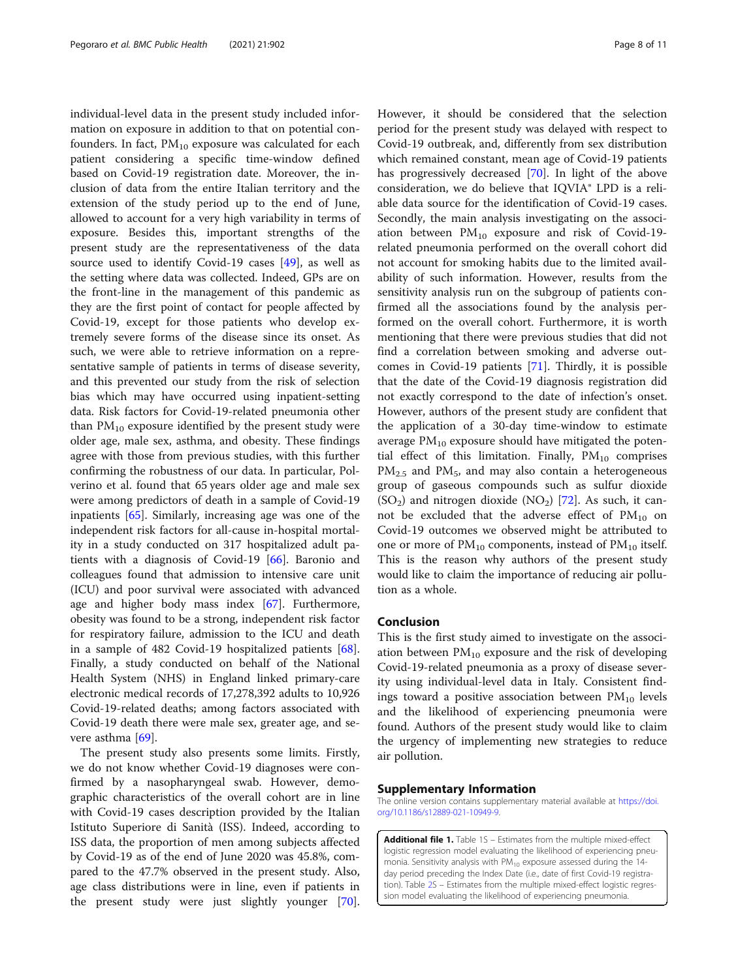<span id="page-7-0"></span>individual-level data in the present study included information on exposure in addition to that on potential confounders. In fact,  $PM_{10}$  exposure was calculated for each patient considering a specific time-window defined based on Covid-19 registration date. Moreover, the inclusion of data from the entire Italian territory and the extension of the study period up to the end of June, allowed to account for a very high variability in terms of exposure. Besides this, important strengths of the present study are the representativeness of the data source used to identify Covid-19 cases [\[49](#page-9-0)], as well as the setting where data was collected. Indeed, GPs are on the front-line in the management of this pandemic as they are the first point of contact for people affected by Covid-19, except for those patients who develop extremely severe forms of the disease since its onset. As such, we were able to retrieve information on a representative sample of patients in terms of disease severity, and this prevented our study from the risk of selection bias which may have occurred using inpatient-setting data. Risk factors for Covid-19-related pneumonia other than  $PM_{10}$  exposure identified by the present study were older age, male sex, asthma, and obesity. These findings agree with those from previous studies, with this further confirming the robustness of our data. In particular, Polverino et al. found that 65 years older age and male sex were among predictors of death in a sample of Covid-19 inpatients [[65\]](#page-10-0). Similarly, increasing age was one of the independent risk factors for all-cause in-hospital mortality in a study conducted on 317 hospitalized adult patients with a diagnosis of Covid-19 [\[66\]](#page-10-0). Baronio and colleagues found that admission to intensive care unit (ICU) and poor survival were associated with advanced age and higher body mass index [[67\]](#page-10-0). Furthermore, obesity was found to be a strong, independent risk factor for respiratory failure, admission to the ICU and death in a sample of 482 Covid-19 hospitalized patients [\[68](#page-10-0)]. Finally, a study conducted on behalf of the National Health System (NHS) in England linked primary-care electronic medical records of 17,278,392 adults to 10,926 Covid-19-related deaths; among factors associated with Covid-19 death there were male sex, greater age, and se-vere asthma [[69\]](#page-10-0).

The present study also presents some limits. Firstly, we do not know whether Covid-19 diagnoses were confirmed by a nasopharyngeal swab. However, demographic characteristics of the overall cohort are in line with Covid-19 cases description provided by the Italian Istituto Superiore di Sanità (ISS). Indeed, according to ISS data, the proportion of men among subjects affected by Covid-19 as of the end of June 2020 was 45.8%, compared to the 47.7% observed in the present study. Also, age class distributions were in line, even if patients in the present study were just slightly younger [\[70](#page-10-0)]. However, it should be considered that the selection period for the present study was delayed with respect to Covid-19 outbreak, and, differently from sex distribution which remained constant, mean age of Covid-19 patients has progressively decreased [\[70](#page-10-0)]. In light of the above consideration, we do believe that IQVIA® LPD is a reliable data source for the identification of Covid-19 cases. Secondly, the main analysis investigating on the association between  $PM_{10}$  exposure and risk of Covid-19related pneumonia performed on the overall cohort did not account for smoking habits due to the limited availability of such information. However, results from the sensitivity analysis run on the subgroup of patients confirmed all the associations found by the analysis performed on the overall cohort. Furthermore, it is worth mentioning that there were previous studies that did not find a correlation between smoking and adverse outcomes in Covid-19 patients [[71\]](#page-10-0). Thirdly, it is possible that the date of the Covid-19 diagnosis registration did not exactly correspond to the date of infection's onset. However, authors of the present study are confident that the application of a 30-day time-window to estimate average  $PM_{10}$  exposure should have mitigated the potential effect of this limitation. Finally,  $PM_{10}$  comprises  $PM_{2.5}$  and  $PM_{5}$ , and may also contain a heterogeneous group of gaseous compounds such as sulfur dioxide  $(SO<sub>2</sub>)$  and nitrogen dioxide  $(NO<sub>2</sub>)$  [\[72](#page-10-0)]. As such, it cannot be excluded that the adverse effect of  $PM_{10}$  on Covid-19 outcomes we observed might be attributed to one or more of  $PM_{10}$  components, instead of  $PM_{10}$  itself. This is the reason why authors of the present study would like to claim the importance of reducing air pollution as a whole.

#### Conclusion

This is the first study aimed to investigate on the association between  $PM_{10}$  exposure and the risk of developing Covid-19-related pneumonia as a proxy of disease severity using individual-level data in Italy. Consistent findings toward a positive association between  $PM_{10}$  levels and the likelihood of experiencing pneumonia were found. Authors of the present study would like to claim the urgency of implementing new strategies to reduce air pollution.

#### Supplementary Information

The online version contains supplementary material available at [https://doi.](https://doi.org/10.1186/s12889-021-10949-9) [org/10.1186/s12889-021-10949-9.](https://doi.org/10.1186/s12889-021-10949-9)

Additional file 1. Table 1S - Estimates from the multiple mixed-effect logistic regression model evaluating the likelihood of experiencing pneumonia. Sensitivity analysis with  $PM_{10}$  exposure assessed during the 14day period preceding the Index Date (i.e., date of first Covid-19 registration). Table [2](#page-8-0)S – Estimates from the multiple mixed-effect logistic regression model evaluating the likelihood of experiencing pneumonia.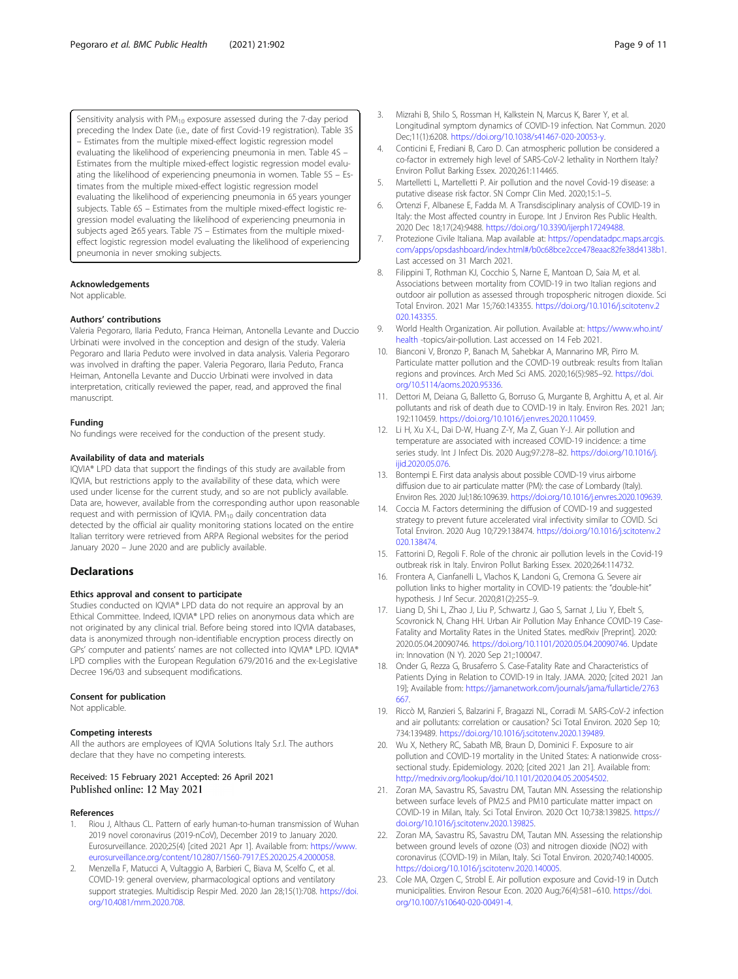<span id="page-8-0"></span>Sensitivity analysis with  $PM_{10}$  exposure assessed during the 7-day period preceding the Index Date (i.e., date of first Covid-19 registration). Table 3S – Estimates from the multiple mixed-effect logistic regression model evaluating the likelihood of experiencing pneumonia in men. Table 4S – Estimates from the multiple mixed-effect logistic regression model evaluating the likelihood of experiencing pneumonia in women. Table 5S – Estimates from the multiple mixed-effect logistic regression model evaluating the likelihood of experiencing pneumonia in 65 years younger subjects. Table 6S – Estimates from the multiple mixed-effect logistic regression model evaluating the likelihood of experiencing pneumonia in subjects aged ≥65 years. Table 7S – Estimates from the multiple mixedeffect logistic regression model evaluating the likelihood of experiencing pneumonia in never smoking subjects.

#### Acknowledgements

Not applicable.

#### Authors' contributions

Valeria Pegoraro, Ilaria Peduto, Franca Heiman, Antonella Levante and Duccio Urbinati were involved in the conception and design of the study. Valeria Pegoraro and Ilaria Peduto were involved in data analysis. Valeria Pegoraro was involved in drafting the paper. Valeria Pegoraro, Ilaria Peduto, Franca Heiman, Antonella Levante and Duccio Urbinati were involved in data interpretation, critically reviewed the paper, read, and approved the final manuscript.

#### Funding

No fundings were received for the conduction of the present study.

#### Availability of data and materials

IQVIA® LPD data that support the findings of this study are available from IQVIA, but restrictions apply to the availability of these data, which were used under license for the current study, and so are not publicly available. Data are, however, available from the corresponding author upon reasonable request and with permission of IQVIA. PM<sub>10</sub> daily concentration data detected by the official air quality monitoring stations located on the entire Italian territory were retrieved from ARPA Regional websites for the period January 2020 – June 2020 and are publicly available.

#### **Declarations**

#### Ethics approval and consent to participate

Studies conducted on IQVIA® LPD data do not require an approval by an Ethical Committee. Indeed, IQVIA® LPD relies on anonymous data which are not originated by any clinical trial. Before being stored into IQVIA databases, data is anonymized through non-identifiable encryption process directly on GPs' computer and patients' names are not collected into IQVIA® LPD. IQVIA® LPD complies with the European Regulation 679/2016 and the ex-Legislative Decree 196/03 and subsequent modifications.

#### Consent for publication

Not applicable.

#### Competing interests

All the authors are employees of IQVIA Solutions Italy S.r.l. The authors declare that they have no competing interests.

#### Received: 15 February 2021 Accepted: 26 April 2021 Published online: 12 May 2021

#### References

- 1. Riou J, Althaus CL. Pattern of early human-to-human transmission of Wuhan 2019 novel coronavirus (2019-nCoV), December 2019 to January 2020. Eurosurveillance. 2020;25(4) [cited 2021 Apr 1]. Available from: [https://www.](http://dx.doi.org/10.2807/1560-7917.ES.2020.25.4.2000058) [eurosurveillance.org/content/10.2807/1560-7917.ES.2020.25.4.2000058](http://dx.doi.org/10.2807/1560-7917.ES.2020.25.4.2000058).
- 2. Menzella F, Matucci A, Vultaggio A, Barbieri C, Biava M, Scelfo C, et al. COVID-19: general overview, pharmacological options and ventilatory support strategies. Multidiscip Respir Med. 2020 Jan 28;15(1):708. [https://doi.](https://doi.org/10.4081/mrm.2020.708) [org/10.4081/mrm.2020.708.](https://doi.org/10.4081/mrm.2020.708)
- 3. Mizrahi B, Shilo S, Rossman H, Kalkstein N, Marcus K, Barer Y, et al. Longitudinal symptom dynamics of COVID-19 infection. Nat Commun. 2020 Dec;11(1):6208. [https://doi.org/10.1038/s41467-020-20053-y.](https://doi.org/10.1038/s41467-020-20053-y)
- 4. Conticini E, Frediani B, Caro D. Can atmospheric pollution be considered a co-factor in extremely high level of SARS-CoV-2 lethality in Northern Italy? Environ Pollut Barking Essex. 2020;261:114465.
- 5. Martelletti L, Martelletti P. Air pollution and the novel Covid-19 disease: a putative disease risk factor. SN Compr Clin Med. 2020;15:1–5.
- 6. Ortenzi F, Albanese E, Fadda M. A Transdisciplinary analysis of COVID-19 in Italy: the Most affected country in Europe. Int J Environ Res Public Health. 2020 Dec 18;17(24):9488. [https://doi.org/10.3390/ijerph17249488.](https://doi.org/10.3390/ijerph17249488)
- 7. Protezione Civile Italiana. Map available at: [https://opendatadpc.maps.arcgis.](https://opendatadpc.maps.arcgis.com/apps/opsdashboard/index.html#/b0c68bce2cce478eaac82fe38d4138b1) [com/apps/opsdashboard/index.html#/b0c68bce2cce478eaac82fe38d4138b1.](https://opendatadpc.maps.arcgis.com/apps/opsdashboard/index.html#/b0c68bce2cce478eaac82fe38d4138b1) Last accessed on 31 March 2021.
- 8. Filippini T, Rothman KJ, Cocchio S, Narne E, Mantoan D, Saia M, et al. Associations between mortality from COVID-19 in two Italian regions and outdoor air pollution as assessed through tropospheric nitrogen dioxide. Sci Total Environ. 2021 Mar 15;760:143355. [https://doi.org/10.1016/j.scitotenv.2](https://doi.org/10.1016/j.scitotenv.2020.143355) [020.143355.](https://doi.org/10.1016/j.scitotenv.2020.143355)
- 9. World Health Organization. Air pollution. Available at: [https://www.who.int/](https://www.who.int/health) [health](https://www.who.int/health) -topics/air-pollution. Last accessed on 14 Feb 2021.
- 10. Bianconi V, Bronzo P, Banach M, Sahebkar A, Mannarino MR, Pirro M. Particulate matter pollution and the COVID-19 outbreak: results from Italian regions and provinces. Arch Med Sci AMS. 2020;16(5):985–92. [https://doi.](https://doi.org/10.5114/aoms.2020.95336) [org/10.5114/aoms.2020.95336](https://doi.org/10.5114/aoms.2020.95336).
- 11. Dettori M, Deiana G, Balletto G, Borruso G, Murgante B, Arghittu A, et al. Air pollutants and risk of death due to COVID-19 in Italy. Environ Res. 2021 Jan; 192:110459. [https://doi.org/10.1016/j.envres.2020.110459.](https://doi.org/10.1016/j.envres.2020.110459)
- 12. Li H, Xu X-L, Dai D-W, Huang Z-Y, Ma Z, Guan Y-J. Air pollution and temperature are associated with increased COVID-19 incidence: a time series study. Int J Infect Dis. 2020 Aug;97:278–82. [https://doi.org/10.1016/j.](https://doi.org/10.1016/j.ijid.2020.05.076) [ijid.2020.05.076](https://doi.org/10.1016/j.ijid.2020.05.076).
- 13. Bontempi E. First data analysis about possible COVID-19 virus airborne diffusion due to air particulate matter (PM): the case of Lombardy (Italy). Environ Res. 2020 Jul;186:109639. <https://doi.org/10.1016/j.envres.2020.109639>.
- 14. Coccia M. Factors determining the diffusion of COVID-19 and suggested strategy to prevent future accelerated viral infectivity similar to COVID. Sci Total Environ. 2020 Aug 10;729:138474. [https://doi.org/10.1016/j.scitotenv.2](https://doi.org/10.1016/j.scitotenv.2020.138474) [020.138474.](https://doi.org/10.1016/j.scitotenv.2020.138474)
- 15. Fattorini D, Regoli F. Role of the chronic air pollution levels in the Covid-19 outbreak risk in Italy. Environ Pollut Barking Essex. 2020;264:114732.
- 16. Frontera A, Cianfanelli L, Vlachos K, Landoni G, Cremona G. Severe air pollution links to higher mortality in COVID-19 patients: the "double-hit" hypothesis. J Inf Secur. 2020;81(2):255–9.
- 17. Liang D, Shi L, Zhao J, Liu P, Schwartz J, Gao S, Sarnat J, Liu Y, Ebelt S, Scovronick N, Chang HH. Urban Air Pollution May Enhance COVID-19 Case-Fatality and Mortality Rates in the United States. medRxiv [Preprint]. 2020: 2020.05.04.20090746. [https://doi.org/10.1101/2020.05.04.20090746.](https://doi.org/10.1101/2020.05.04.20090746) Update in: Innovation (N Y). 2020 Sep 21;:100047.
- 18. Onder G, Rezza G, Brusaferro S. Case-Fatality Rate and Characteristics of Patients Dying in Relation to COVID-19 in Italy. JAMA. 2020; [cited 2021 Jan 19]; Available from: [https://jamanetwork.com/journals/jama/fullarticle/2763](https://jamanetwork.com/journals/jama/fullarticle/2763667) [667.](https://jamanetwork.com/journals/jama/fullarticle/2763667)
- 19. Riccò M, Ranzieri S, Balzarini F, Bragazzi NL, Corradi M. SARS-CoV-2 infection and air pollutants: correlation or causation? Sci Total Environ. 2020 Sep 10; 734:139489. [https://doi.org/10.1016/j.scitotenv.2020.139489.](https://doi.org/10.1016/j.scitotenv.2020.139489)
- 20. Wu X, Nethery RC, Sabath MB, Braun D, Dominici F. Exposure to air pollution and COVID-19 mortality in the United States: A nationwide crosssectional study. Epidemiology. 2020; [cited 2021 Jan 21]. Available from: [http://medrxiv.org/lookup/doi/10.1101/2020.04.05.20054502.](http://dx.doi.org/10.1101/2020.04.05.20054502)
- 21. Zoran MA, Savastru RS, Savastru DM, Tautan MN. Assessing the relationship between surface levels of PM2.5 and PM10 particulate matter impact on COVID-19 in Milan, Italy. Sci Total Environ. 2020 Oct 10;738:139825. [https://](https://doi.org/10.1016/j.scitotenv.2020.139825) [doi.org/10.1016/j.scitotenv.2020.139825](https://doi.org/10.1016/j.scitotenv.2020.139825).
- 22. Zoran MA, Savastru RS, Savastru DM, Tautan MN. Assessing the relationship between ground levels of ozone (O3) and nitrogen dioxide (NO2) with coronavirus (COVID-19) in Milan, Italy. Sci Total Environ. 2020;740:140005. [https://doi.org/10.1016/j.scitotenv.2020.140005.](https://doi.org/10.1016/j.scitotenv.2020.140005)
- 23. Cole MA, Ozgen C, Strobl E. Air pollution exposure and Covid-19 in Dutch municipalities. Environ Resour Econ. 2020 Aug;76(4):581–610. [https://doi.](https://doi.org/10.1007/s10640-020-00491-4) [org/10.1007/s10640-020-00491-4.](https://doi.org/10.1007/s10640-020-00491-4)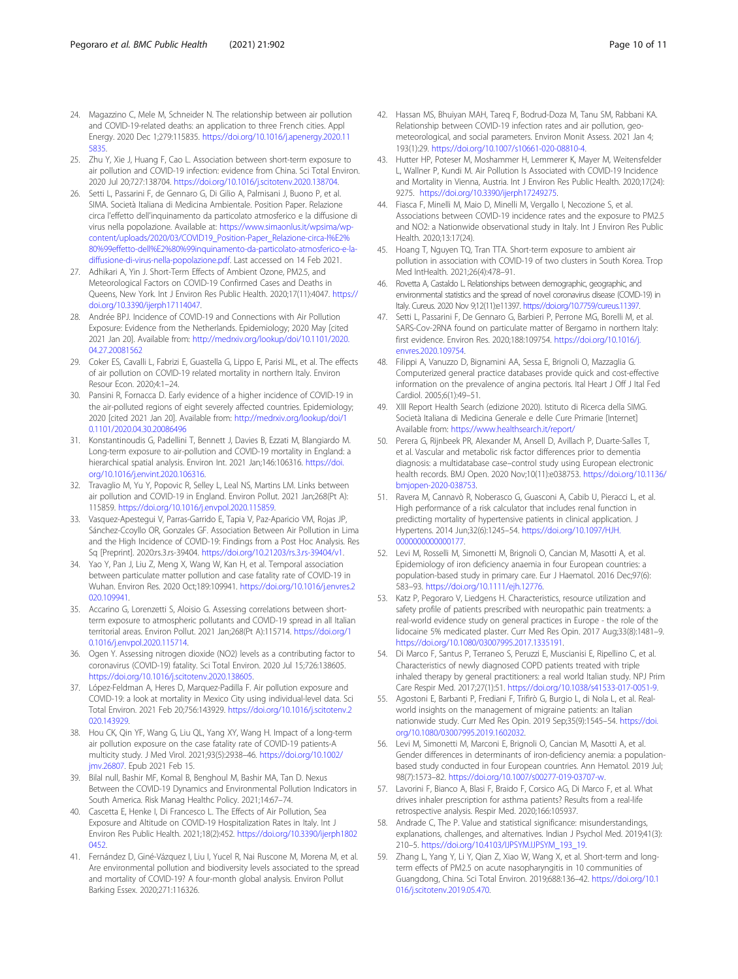- <span id="page-9-0"></span>24. Magazzino C, Mele M, Schneider N. The relationship between air pollution and COVID-19-related deaths: an application to three French cities. Appl Energy. 2020 Dec 1;279:115835. [https://doi.org/10.1016/j.apenergy.2020.11](https://doi.org/10.1016/j.apenergy.2020.115835) [5835](https://doi.org/10.1016/j.apenergy.2020.115835).
- 25. Zhu Y, Xie J, Huang F, Cao L. Association between short-term exposure to air pollution and COVID-19 infection: evidence from China. Sci Total Environ. 2020 Jul 20;727:138704. [https://doi.org/10.1016/j.scitotenv.2020.138704.](https://doi.org/10.1016/j.scitotenv.2020.138704)
- 26. Setti L, Passarini F, de Gennaro G, Di Gilio A, Palmisani J, Buono P, et al. SIMA. Società Italiana di Medicina Ambientale. Position Paper. Relazione circa l'effetto dell'inquinamento da particolato atmosferico e la diffusione di virus nella popolazione. Available at: [https://www.simaonlus.it/wpsima/wp](https://www.simaonlus.it/wpsima/wp-content/uploads/2020/03/COVID19_Position-Paper_Relazione-circa-l%E2%80%99effetto-dell%E2%80%99inquinamento-da-particolato-atmosferico-e-la-diffusione-di-virus-nella-popolazione.pdf)[content/uploads/2020/03/COVID19\\_Position-Paper\\_Relazione-circa-l%E2%](https://www.simaonlus.it/wpsima/wp-content/uploads/2020/03/COVID19_Position-Paper_Relazione-circa-l%E2%80%99effetto-dell%E2%80%99inquinamento-da-particolato-atmosferico-e-la-diffusione-di-virus-nella-popolazione.pdf) [80%99effetto-dell%E2%80%99inquinamento-da-particolato-atmosferico-e-la](https://www.simaonlus.it/wpsima/wp-content/uploads/2020/03/COVID19_Position-Paper_Relazione-circa-l%E2%80%99effetto-dell%E2%80%99inquinamento-da-particolato-atmosferico-e-la-diffusione-di-virus-nella-popolazione.pdf)[diffusione-di-virus-nella-popolazione.pdf.](https://www.simaonlus.it/wpsima/wp-content/uploads/2020/03/COVID19_Position-Paper_Relazione-circa-l%E2%80%99effetto-dell%E2%80%99inquinamento-da-particolato-atmosferico-e-la-diffusione-di-virus-nella-popolazione.pdf) Last accessed on 14 Feb 2021.
- 27. Adhikari A, Yin J. Short-Term Effects of Ambient Ozone, PM2.5, and Meteorological Factors on COVID-19 Confirmed Cases and Deaths in Queens, New York. Int J Environ Res Public Health. 2020;17(11):4047. [https://](https://doi.org/10.3390/ijerph17114047) [doi.org/10.3390/ijerph17114047.](https://doi.org/10.3390/ijerph17114047)
- 28. Andrée BPJ. Incidence of COVID-19 and Connections with Air Pollution Exposure: Evidence from the Netherlands. Epidemiology; 2020 May [cited 2021 Jan 20]. Available from: [http://medrxiv.org/lookup/doi/10.1101/2020.](http://dx.doi.org/10.1101/2020.04.27.20081562) [04.27.20081562](http://dx.doi.org/10.1101/2020.04.27.20081562)
- 29. Coker ES, Cavalli L, Fabrizi E, Guastella G, Lippo E, Parisi ML, et al. The effects of air pollution on COVID-19 related mortality in northern Italy. Environ Resour Econ. 2020;4:1–24.
- 30. Pansini R, Fornacca D. Early evidence of a higher incidence of COVID-19 in the air-polluted regions of eight severely affected countries. Epidemiology; 2020 [cited 2021 Jan 20]. Available from: [http://medrxiv.org/lookup/doi/1](http://dx.doi.org/10.1101/2020.04.30.20086496) [0.1101/2020.04.30.20086496](http://dx.doi.org/10.1101/2020.04.30.20086496)
- 31. Konstantinoudis G, Padellini T, Bennett J, Davies B, Ezzati M, Blangiardo M. Long-term exposure to air-pollution and COVID-19 mortality in England: a hierarchical spatial analysis. Environ Int. 2021 Jan;146:106316. [https://doi.](https://doi.org/10.1016/j.envint.2020.106316) [org/10.1016/j.envint.2020.106316.](https://doi.org/10.1016/j.envint.2020.106316)
- 32. Travaglio M, Yu Y, Popovic R, Selley L, Leal NS, Martins LM. Links between air pollution and COVID-19 in England. Environ Pollut. 2021 Jan;268(Pt A): 115859. <https://doi.org/10.1016/j.envpol.2020.115859>.
- 33. Vasquez-Apestegui V, Parras-Garrido E, Tapia V, Paz-Aparicio VM, Rojas JP, Sánchez-Ccoyllo OR, Gonzales GF. Association Between Air Pollution in Lima and the High Incidence of COVID-19: Findings from a Post Hoc Analysis. Res Sq [Preprint]. 2020:rs.3.rs-39404. [https://doi.org/10.21203/rs.3.rs-39404/v1.](https://doi.org/10.21203/rs.3.rs-39404/v1)
- 34. Yao Y, Pan J, Liu Z, Meng X, Wang W, Kan H, et al. Temporal association between particulate matter pollution and case fatality rate of COVID-19 in Wuhan. Environ Res. 2020 Oct;189:109941. [https://doi.org/10.1016/j.envres.2](https://doi.org/10.1016/j.envres.2020.109941) [020.109941.](https://doi.org/10.1016/j.envres.2020.109941)
- 35. Accarino G, Lorenzetti S, Aloisio G. Assessing correlations between shortterm exposure to atmospheric pollutants and COVID-19 spread in all Italian territorial areas. Environ Pollut. 2021 Jan;268(Pt A):115714. [https://doi.org/1](https://doi.org/10.1016/j.envpol.2020.115714) [0.1016/j.envpol.2020.115714](https://doi.org/10.1016/j.envpol.2020.115714).
- 36. Ogen Y. Assessing nitrogen dioxide (NO2) levels as a contributing factor to coronavirus (COVID-19) fatality. Sci Total Environ. 2020 Jul 15;726:138605. [https://doi.org/10.1016/j.scitotenv.2020.138605.](https://doi.org/10.1016/j.scitotenv.2020.138605)
- 37. López-Feldman A, Heres D, Marquez-Padilla F. Air pollution exposure and COVID-19: a look at mortality in Mexico City using individual-level data. Sci Total Environ. 2021 Feb 20;756:143929. [https://doi.org/10.1016/j.scitotenv.2](https://doi.org/10.1016/j.scitotenv.2020.143929) [020.143929.](https://doi.org/10.1016/j.scitotenv.2020.143929)
- 38. Hou CK, Qin YF, Wang G, Liu QL, Yang XY, Wang H. Impact of a long-term air pollution exposure on the case fatality rate of COVID-19 patients-A multicity study. J Med Virol. 2021;93(5):2938–46. [https://doi.org/10.1002/](https://doi.org/10.1002/jmv.26807) [jmv.26807](https://doi.org/10.1002/jmv.26807). Epub 2021 Feb 15.
- 39. Bilal null, Bashir MF, Komal B, Benghoul M, Bashir MA, Tan D. Nexus Between the COVID-19 Dynamics and Environmental Pollution Indicators in South America. Risk Manag Healthc Policy. 2021;14:67–74.
- 40. Cascetta E, Henke I, Di Francesco L. The Effects of Air Pollution, Sea Exposure and Altitude on COVID-19 Hospitalization Rates in Italy. Int J Environ Res Public Health. 2021;18(2):452. [https://doi.org/10.3390/ijerph1802](https://doi.org/10.3390/ijerph18020452) [0452](https://doi.org/10.3390/ijerph18020452).
- 41. Fernández D, Giné-Vázquez I, Liu I, Yucel R, Nai Ruscone M, Morena M, et al. Are environmental pollution and biodiversity levels associated to the spread and mortality of COVID-19? A four-month global analysis. Environ Pollut Barking Essex. 2020;271:116326.
- 42. Hassan MS, Bhuiyan MAH, Tareq F, Bodrud-Doza M, Tanu SM, Rabbani KA. Relationship between COVID-19 infection rates and air pollution, geometeorological, and social parameters. Environ Monit Assess. 2021 Jan 4; 193(1):29. <https://doi.org/10.1007/s10661-020-08810-4>.
- 43. Hutter HP, Poteser M, Moshammer H, Lemmerer K, Mayer M, Weitensfelder L, Wallner P, Kundi M. Air Pollution Is Associated with COVID-19 Incidence and Mortality in Vienna, Austria. Int J Environ Res Public Health. 2020;17(24): 9275. <https://doi.org/10.3390/ijerph17249275>.
- 44. Fiasca F, Minelli M, Maio D, Minelli M, Vergallo I, Necozione S, et al. Associations between COVID-19 incidence rates and the exposure to PM2.5 and NO2: a Nationwide observational study in Italy. Int J Environ Res Public Health. 2020;13:17(24).
- 45. Hoang T, Nguyen TQ, Tran TTA. Short-term exposure to ambient air pollution in association with COVID-19 of two clusters in South Korea. Trop Med IntHealth. 2021;26(4):478–91.
- 46. Rovetta A, Castaldo L. Relationships between demographic, geographic, and environmental statistics and the spread of novel coronavirus disease (COVID-19) in Italy. Cureus. 2020 Nov 9;12(11):e11397. [https://doi.org/10.7759/cureus.11397.](https://doi.org/10.7759/cureus.11397)
- 47. Setti L, Passarini F, De Gennaro G, Barbieri P, Perrone MG, Borelli M, et al. SARS-Cov-2RNA found on particulate matter of Bergamo in northern Italy: first evidence. Environ Res. 2020;188:109754. [https://doi.org/10.1016/j.](https://doi.org/10.1016/j.envres.2020.109754) [envres.2020.109754.](https://doi.org/10.1016/j.envres.2020.109754)
- 48. Filippi A, Vanuzzo D, Bignamini AA, Sessa E, Brignoli O, Mazzaglia G. Computerized general practice databases provide quick and cost-effective information on the prevalence of angina pectoris. Ital Heart J Off J Ital Fed Cardiol. 2005;6(1):49–51.
- 49. XIII Report Health Search (edizione 2020). Istituto di Ricerca della SIMG. Società Italiana di Medicina Generale e delle Cure Primarie [Internet] Available from: <https://www.healthsearch.it/report/>
- 50. Perera G, Rijnbeek PR, Alexander M, Ansell D, Avillach P, Duarte-Salles T, et al. Vascular and metabolic risk factor differences prior to dementia diagnosis: a multidatabase case–control study using European electronic health records. BMJ Open. 2020 Nov;10(11):e038753. [https://doi.org/10.1136/](https://doi.org/10.1136/bmjopen-2020-038753) [bmjopen-2020-038753.](https://doi.org/10.1136/bmjopen-2020-038753)
- 51. Ravera M, Cannavò R, Noberasco G, Guasconi A, Cabib U, Pieracci L, et al. High performance of a risk calculator that includes renal function in predicting mortality of hypertensive patients in clinical application. J Hypertens. 2014 Jun;32(6):1245–54. [https://doi.org/10.1097/HJH.](https://doi.org/10.1097/HJH.0000000000000177) [0000000000000177](https://doi.org/10.1097/HJH.0000000000000177).
- 52. Levi M, Rosselli M, Simonetti M, Brignoli O, Cancian M, Masotti A, et al. Epidemiology of iron deficiency anaemia in four European countries: a population-based study in primary care. Eur J Haematol. 2016 Dec;97(6): 583–93. [https://doi.org/10.1111/ejh.12776.](https://doi.org/10.1111/ejh.12776)
- 53. Katz P, Pegoraro V, Liedgens H. Characteristics, resource utilization and safety profile of patients prescribed with neuropathic pain treatments: a real-world evidence study on general practices in Europe - the role of the lidocaine 5% medicated plaster. Curr Med Res Opin. 2017 Aug;33(8):1481–9. <https://doi.org/10.1080/03007995.2017.1335191>.
- 54. Di Marco F, Santus P, Terraneo S, Peruzzi E, Muscianisi E, Ripellino C, et al. Characteristics of newly diagnosed COPD patients treated with triple inhaled therapy by general practitioners: a real world Italian study. NPJ Prim Care Respir Med. 2017;27(1):51. <https://doi.org/10.1038/s41533-017-0051-9>.
- 55. Agostoni E, Barbanti P, Frediani F, Trifirò G, Burgio L, di Nola L, et al. Realworld insights on the management of migraine patients: an Italian nationwide study. Curr Med Res Opin. 2019 Sep;35(9):1545–54. [https://doi.](https://doi.org/10.1080/03007995.2019.1602032) [org/10.1080/03007995.2019.1602032](https://doi.org/10.1080/03007995.2019.1602032).
- 56. Levi M, Simonetti M, Marconi E, Brignoli O, Cancian M, Masotti A, et al. Gender differences in determinants of iron-deficiency anemia: a populationbased study conducted in four European countries. Ann Hematol. 2019 Jul; 98(7):1573–82. [https://doi.org/10.1007/s00277-019-03707-w.](https://doi.org/10.1007/s00277-019-03707-w)
- 57. Lavorini F, Bianco A, Blasi F, Braido F, Corsico AG, Di Marco F, et al. What drives inhaler prescription for asthma patients? Results from a real-life retrospective analysis. Respir Med. 2020;166:105937.
- 58. Andrade C, The P. Value and statistical significance: misunderstandings, explanations, challenges, and alternatives. Indian J Psychol Med. 2019;41(3): 210–5. [https://doi.org/10.4103/IJPSYM.IJPSYM\\_193\\_19](https://doi.org/10.4103/IJPSYM.IJPSYM_193_19).
- 59. Zhang L, Yang Y, Li Y, Qian Z, Xiao W, Wang X, et al. Short-term and longterm effects of PM2.5 on acute nasopharyngitis in 10 communities of Guangdong, China. Sci Total Environ. 2019;688:136–42. [https://doi.org/10.1](https://doi.org/10.1016/j.scitotenv.2019.05.470) [016/j.scitotenv.2019.05.470](https://doi.org/10.1016/j.scitotenv.2019.05.470).